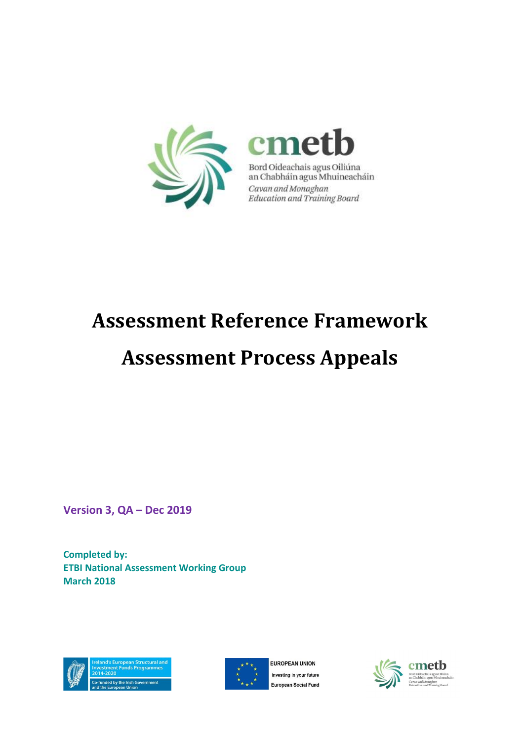

# **Assessment Reference Framework**

# **Assessment Process Appeals**

**Version 3, QA – Dec 2019**

**Completed by: ETBI National Assessment Working Group March 2018**





EUROPEAN UNION Investing in your future **European Social Fund** 

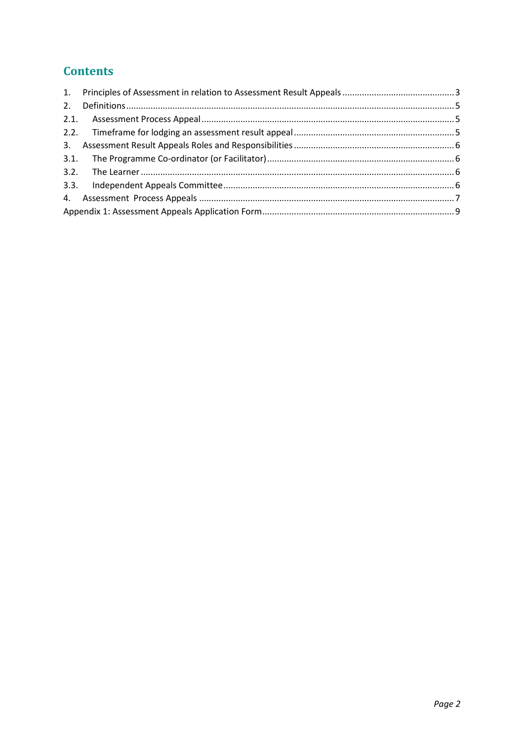## **Contents**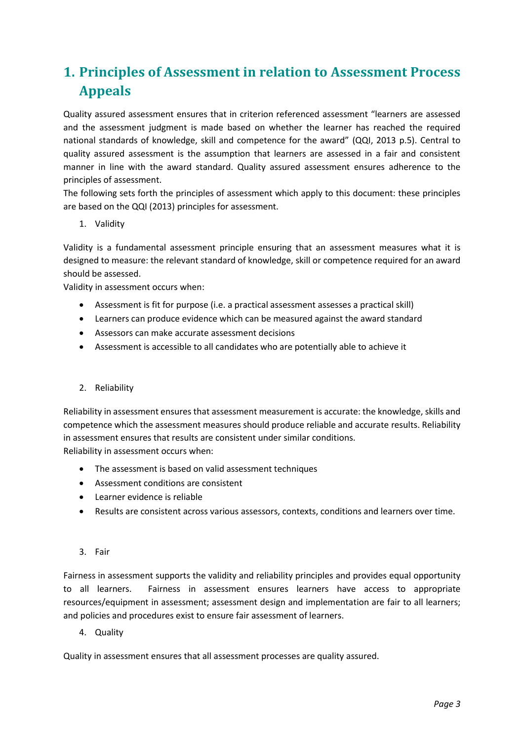# <span id="page-2-0"></span>**1. Principles of Assessment in relation to Assessment Process Appeals**

Quality assured assessment ensures that in criterion referenced assessment "learners are assessed and the assessment judgment is made based on whether the learner has reached the required national standards of knowledge, skill and competence for the award" (QQI, 2013 p.5). Central to quality assured assessment is the assumption that learners are assessed in a fair and consistent manner in line with the award standard. Quality assured assessment ensures adherence to the principles of assessment.

The following sets forth the principles of assessment which apply to this document: these principles are based on the QQI (2013) principles for assessment.

1. Validity

Validity is a fundamental assessment principle ensuring that an assessment measures what it is designed to measure: the relevant standard of knowledge, skill or competence required for an award should be assessed.

Validity in assessment occurs when:

- Assessment is fit for purpose (i.e. a practical assessment assesses a practical skill)
- Learners can produce evidence which can be measured against the award standard
- Assessors can make accurate assessment decisions
- Assessment is accessible to all candidates who are potentially able to achieve it

#### 2. Reliability

Reliability in assessment ensures that assessment measurement is accurate: the knowledge, skills and competence which the assessment measures should produce reliable and accurate results. Reliability in assessment ensures that results are consistent under similar conditions. Reliability in assessment occurs when:

- The assessment is based on valid assessment techniques
- Assessment conditions are consistent
- Learner evidence is reliable
- Results are consistent across various assessors, contexts, conditions and learners over time.

#### 3. Fair

Fairness in assessment supports the validity and reliability principles and provides equal opportunity to all learners. Fairness in assessment ensures learners have access to appropriate resources/equipment in assessment; assessment design and implementation are fair to all learners; and policies and procedures exist to ensure fair assessment of learners.

4. Quality

Quality in assessment ensures that all assessment processes are quality assured.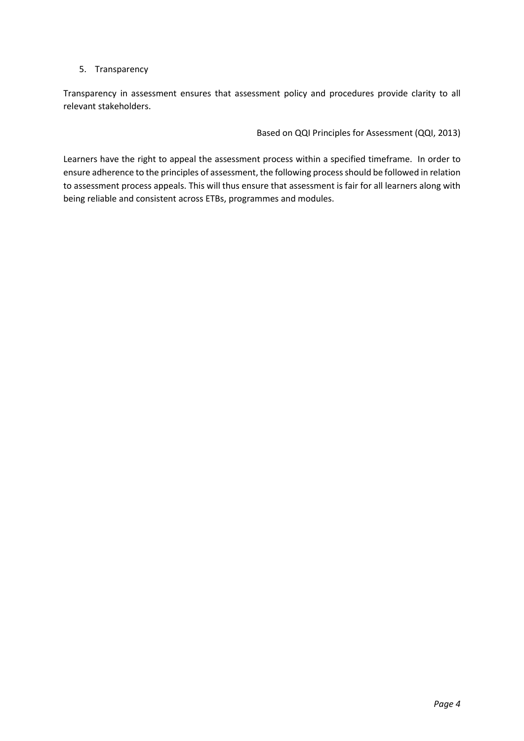#### 5. Transparency

Transparency in assessment ensures that assessment policy and procedures provide clarity to all relevant stakeholders.

Based on QQI Principles for Assessment (QQI, 2013)

Learners have the right to appeal the assessment process within a specified timeframe. In order to ensure adherence to the principles of assessment, the following process should be followed in relation to assessment process appeals. This will thus ensure that assessment is fair for all learners along with being reliable and consistent across ETBs, programmes and modules.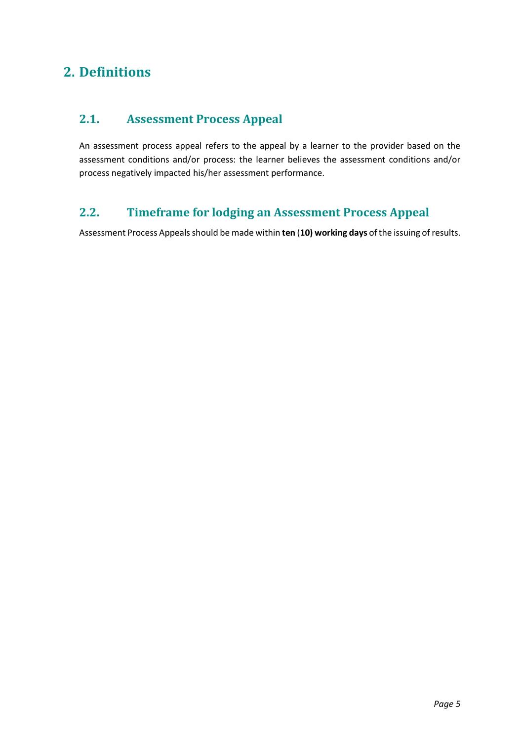## <span id="page-4-0"></span>**2. Definitions**

## <span id="page-4-1"></span>**2.1. Assessment Process Appeal**

An assessment process appeal refers to the appeal by a learner to the provider based on the assessment conditions and/or process: the learner believes the assessment conditions and/or process negatively impacted his/her assessment performance.

## <span id="page-4-2"></span>**2.2. Timeframe for lodging an Assessment Process Appeal**

Assessment Process Appeals should be made within **ten** (**10) working days** of the issuing of results.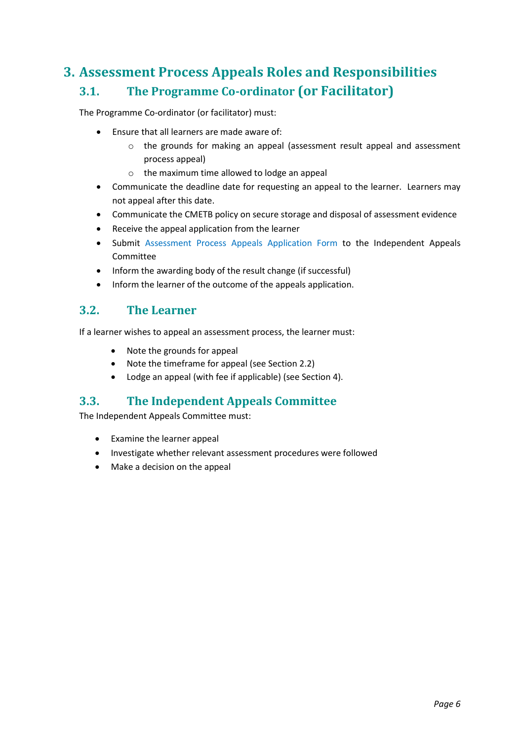# <span id="page-5-1"></span><span id="page-5-0"></span>**3. Assessment Process Appeals Roles and Responsibilities 3.1. The Programme Co-ordinator (or Facilitator)**

The Programme Co-ordinator (or facilitator) must:

- Ensure that all learners are made aware of:
	- o the grounds for making an appeal (assessment result appeal and assessment process appeal)
	- o the maximum time allowed to lodge an appeal
- Communicate the deadline date for requesting an appeal to the learner. Learners may not appeal after this date.
- Communicate the CMETB policy on secure storage and disposal of assessment evidence
- Receive the appeal application from the learner
- Submit Assessment Process Appeals Application Form to the Independent Appeals Committee
- Inform the awarding body of the result change (if successful)
- Inform the learner of the outcome of the appeals application.

### <span id="page-5-2"></span>**3.2. The Learner**

If a learner wishes to appeal an assessment process, the learner must:

- Note the grounds for appeal
- Note the timeframe for appeal (see Section 2.2)
- Lodge an appeal (with fee if applicable) (see Section 4).

### <span id="page-5-3"></span>**3.3. The Independent Appeals Committee**

The Independent Appeals Committee must:

- Examine the learner appeal
- Investigate whether relevant assessment procedures were followed
- Make a decision on the appeal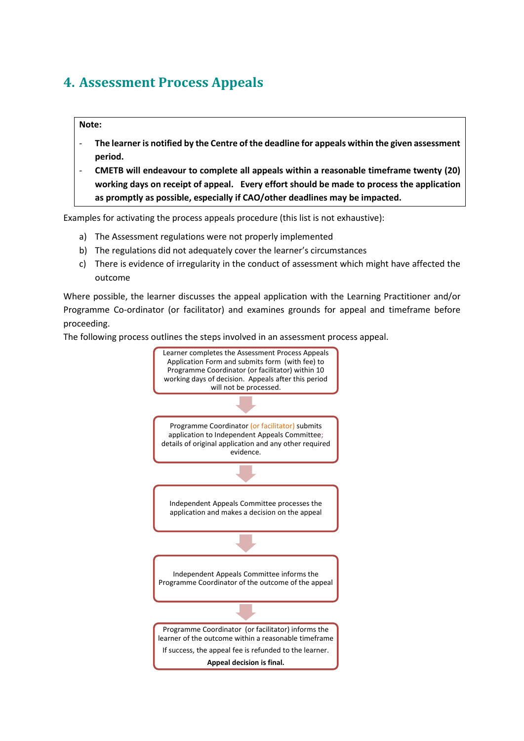# <span id="page-6-0"></span>**4. Assessment Process Appeals**

#### **Note:**

- **The learner is notified by the Centre of the deadline for appeals within the given assessment period.**
- **CMETB will endeavour to complete all appeals within a reasonable timeframe twenty (20) working days on receipt of appeal. Every effort should be made to process the application as promptly as possible, especially if CAO/other deadlines may be impacted.**

Examples for activating the process appeals procedure (this list is not exhaustive):

- a) The Assessment regulations were not properly implemented
- b) The regulations did not adequately cover the learner's circumstances
- c) There is evidence of irregularity in the conduct of assessment which might have affected the outcome

Where possible, the learner discusses the appeal application with the Learning Practitioner and/or Programme Co-ordinator (or facilitator) and examines grounds for appeal and timeframe before proceeding.

The following process outlines the steps involved in an assessment process appeal.

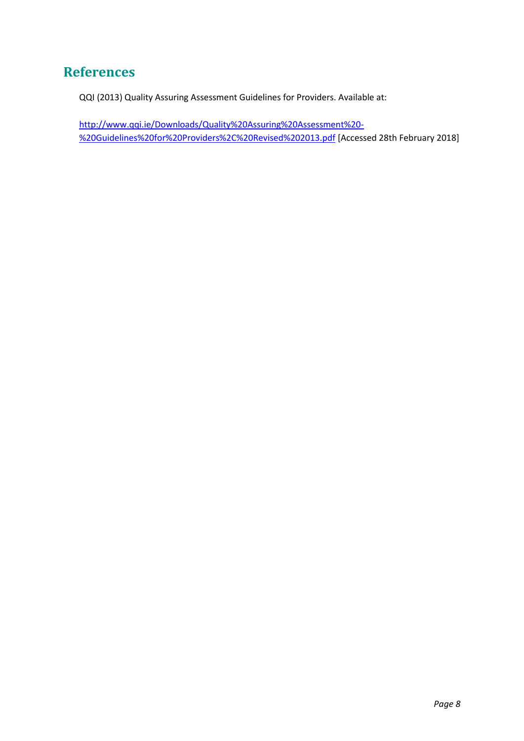## **References**

QQI (2013) Quality Assuring Assessment Guidelines for Providers. Available at:

[http://www.qqi.ie/Downloads/Quality%20Assuring%20Assessment%20-](http://www.qqi.ie/Downloads/Quality%20Assuring%20Assessment%20-%20Guidelines%20for%20Providers%2C%20Revised%202013.pdf) [%20Guidelines%20for%20Providers%2C%20Revised%202013.pdf](http://www.qqi.ie/Downloads/Quality%20Assuring%20Assessment%20-%20Guidelines%20for%20Providers%2C%20Revised%202013.pdf) [Accessed 28th February 2018]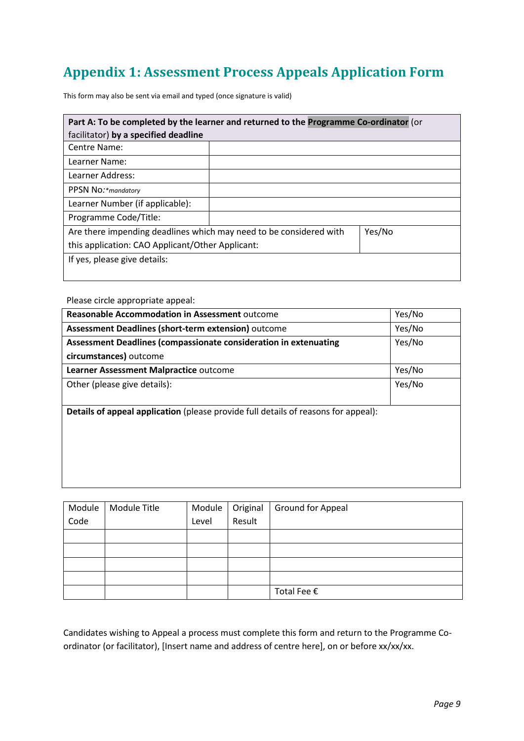# <span id="page-8-0"></span>**Appendix 1: Assessment Process Appeals Application Form**

This form may also be sent via email and typed (once signature is valid)

| Part A: To be completed by the learner and returned to the Programme Co-ordinator (or |  |  |  |  |
|---------------------------------------------------------------------------------------|--|--|--|--|
| facilitator) by a specified deadline                                                  |  |  |  |  |
| Centre Name:                                                                          |  |  |  |  |
| Learner Name:                                                                         |  |  |  |  |
| Learner Address:                                                                      |  |  |  |  |
| PPSN No:*mandatory                                                                    |  |  |  |  |
| Learner Number (if applicable):                                                       |  |  |  |  |
| Programme Code/Title:                                                                 |  |  |  |  |
| Are there impending deadlines which may need to be considered with<br>Yes/No          |  |  |  |  |
| this application: CAO Applicant/Other Applicant:                                      |  |  |  |  |
| If yes, please give details:                                                          |  |  |  |  |
|                                                                                       |  |  |  |  |

Please circle appropriate appeal:

| <b>Reasonable Accommodation in Assessment outcome</b>                              | Yes/No |  |  |  |
|------------------------------------------------------------------------------------|--------|--|--|--|
| Assessment Deadlines (short-term extension) outcome                                | Yes/No |  |  |  |
| Assessment Deadlines (compassionate consideration in extenuating                   | Yes/No |  |  |  |
| circumstances) outcome                                                             |        |  |  |  |
| Learner Assessment Malpractice outcome                                             | Yes/No |  |  |  |
| Other (please give details):                                                       | Yes/No |  |  |  |
|                                                                                    |        |  |  |  |
| Details of appeal application (please provide full details of reasons for appeal): |        |  |  |  |
|                                                                                    |        |  |  |  |
|                                                                                    |        |  |  |  |
|                                                                                    |        |  |  |  |
|                                                                                    |        |  |  |  |
|                                                                                    |        |  |  |  |

| Module | Module Title |       | Module   Original | Ground for Appeal |
|--------|--------------|-------|-------------------|-------------------|
| Code   |              | Level | Result            |                   |
|        |              |       |                   |                   |
|        |              |       |                   |                   |
|        |              |       |                   |                   |
|        |              |       |                   |                   |
|        |              |       |                   | Total Fee €       |

Candidates wishing to Appeal a process must complete this form and return to the Programme Coordinator (or facilitator), [Insert name and address of centre here], on or before xx/xx/xx.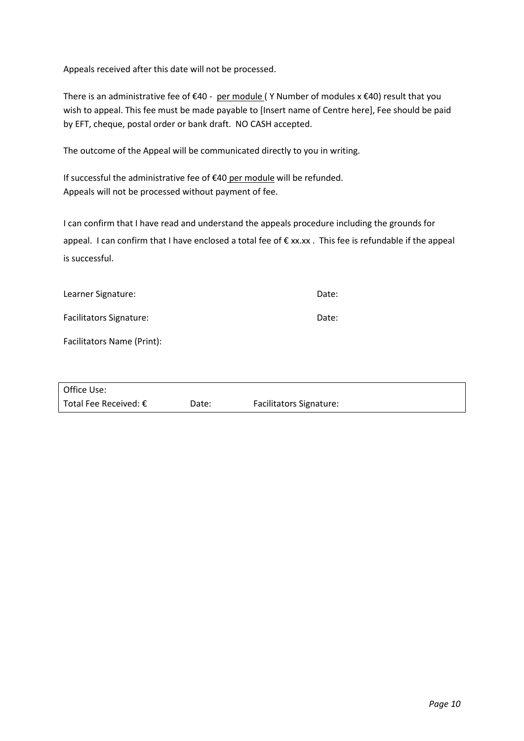Appeals received after this date will not be processed.

There is an administrative fee of €40 - per module (Y Number of modules x €40) result that you wish to appeal. This fee must be made payable to [Insert name of Centre here], Fee should be paid by EFT, cheque, postal order or bank draft. NO CASH accepted.

The outcome of the Appeal will be communicated directly to you in writing.

If successful the administrative fee of €40 per module will be refunded. Appeals will not be processed without payment of fee.

I can confirm that I have read and understand the appeals procedure including the grounds for appeal. I can confirm that I have enclosed a total fee of € xx.xx. This fee is refundable if the appeal is successful.

| Learner Signature: | Date: |
|--------------------|-------|
|                    |       |

Facilitators Signature: Date: Date:

Facilitators Name (Print):

| Office Use:                    |       |                                |
|--------------------------------|-------|--------------------------------|
| Total Fee Received: $\epsilon$ | Date: | <b>Facilitators Signature:</b> |